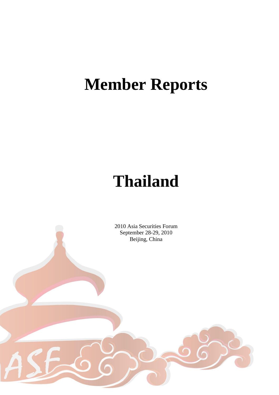# **Member Reports**

# **Thailand**

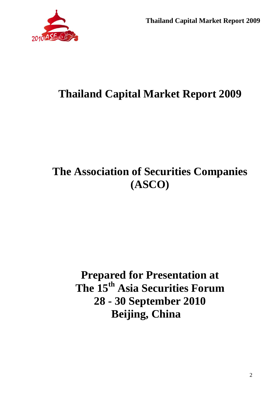

# **The Association of Securities Companies (ASCO)**

**Prepared for Presentation at The 15th Asia Securities Forum 28 - 30 September 2010 Beijing, China**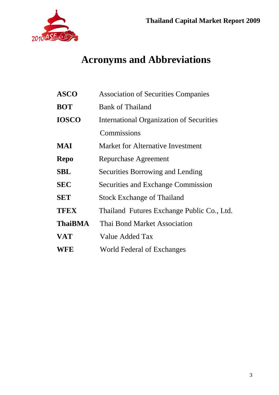

# **Acronyms and Abbreviations**

| <b>ASCO</b>    | <b>Association of Securities Companies</b>      |
|----------------|-------------------------------------------------|
| <b>BOT</b>     | <b>Bank of Thailand</b>                         |
| <b>IOSCO</b>   | <b>International Organization of Securities</b> |
|                | Commissions                                     |
| MAI            | Market for Alternative Investment               |
| <b>Repo</b>    | Repurchase Agreement                            |
| <b>SBL</b>     | <b>Securities Borrowing and Lending</b>         |
| <b>SEC</b>     | Securities and Exchange Commission              |
| <b>SET</b>     | <b>Stock Exchange of Thailand</b>               |
| <b>TFEX</b>    | Thailand Futures Exchange Public Co., Ltd.      |
| <b>ThaiBMA</b> | <b>Thai Bond Market Association</b>             |
| <b>VAT</b>     | Value Added Tax                                 |
| <b>WFE</b>     | World Federal of Exchanges                      |
|                |                                                 |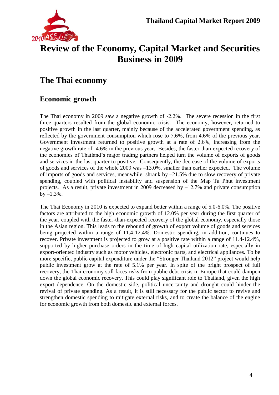

# **Review of the Economy, Capital Market and Securities Business in 2009**

# **The Thai economy**

## **Economic growth**

The Thai economy in 2009 saw a negative growth of -2.2%. The severe recession in the first three quarters resulted from the global economic crisis. The economy, however, returned to positive growth in the last quarter, mainly because of the accelerated government spending, as reflected by the government consumption which rose to 7.6%, from 4.6% of the previous year. Government investment returned to positive growth at a rate of 2.6%, increasing from the negative growth rate of -4.6% in the previous year. Besides, the faster-than-expected recovery of the economies of Thailand's major trading partners helped turn the volume of exports of goods and services in the last quarter to positive. Consequently, the decrease of the volume of exports of goods and services of the whole 2009 was –13.0%, smaller than earlier expected. The volume of imports of goods and services, meanwhile, shrank by –21.5% due to slow recovery of private spending, coupled with political instability and suspension of the Map Ta Phut investment projects. As a result, private investment in 2009 decreased by  $-12.7\%$  and private consumption  $by -1.3\%$ .

The Thai Economy in 2010 is expected to expand better within a range of 5.0-6.0%. The positive factors are attributed to the high economic growth of 12.0% per year during the first quarter of the year, coupled with the faster-than-expected recovery of the global economy, especially those in the Asian region. This leads to the rebound of growth of export volume of goods and services being projected within a range of 11.4-12.4%. Domestic spending, in addition, continues to recover. Private investment is projected to grow at a positive rate within a range of 11.4-12.4%, supported by higher purchase orders in the time of high capital utilization rate, especially in export-oriented industry such as motor vehicles, electronic parts, and electrical appliances. To be more specific, public capital expenditure under the "Stronger Thailand 2012" project would help public investment grow at the rate of 5.1% per year. In spite of the bright prospect of full recovery, the Thai economy still faces risks from public debt crisis in Europe that could dampen down the global economic recovery. This could play significant role to Thailand, given the high export dependence. On the domestic side, political uncertainty and drought could hinder the revival of private spending. As a result, it is still necessary for the public sector to revive and strengthen domestic spending to mitigate external risks, and to create the balance of the engine for economic growth from both domestic and external forces.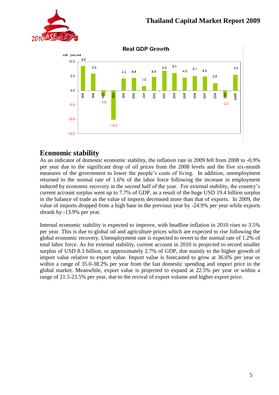



## **Economic stability**

As an indicator of domestic economic stability, the inflation rate in 2009 fell from 2008 to -0.9% per year due to the significant drop of oil prices from the 2008 levels and the five six-month measures of the government to lower the people's costs of living. In addition, unemployment returned to the normal rate of 1.6% of the labor force following the increase in employment induced by economic recovery in the second half of the year. For external stability, the country's current account surplus went up to 7.7% of GDP, as a result of the huge USD 19.4 billion surplus in the balance of trade as the value of imports decreased more than that of exports. In 2009, the value of imports dropped from a high base in the previous year by -24.9% per year while exports shrank by -13.9% per year.

Internal economic stability is expected to improve, with headline inflation in 2010 rises to 3.5% per year. This is due to global oil and agriculture prices which are expected to rise following the global economic recovery. Unemployment rate is expected to revert to the normal rate of 1.2% of total labor force. As for external stability, current account in 2010 is projected to record smaller surplus of USD 8.3 billion, or approximately 2.7% of GDP, due mainly to the higher growth of import value relative to export value. Import value is forecasted to grow at 36.6% per year or within a range of 35.0-38.2% per year from the fast domestic spending and import price in the global market. Meanwhile, export value is projected to expand at 22.5% per year or within a range of 21.5-23.5% per year, due to the revival of export volume and higher export price.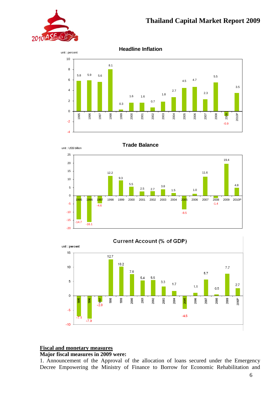

**Headline Inflation**



unit : US\$ billion









#### **Fiscal and monetary measures**

#### **Major fiscal measures in 2009 were:**

1. Announcement of the Approval of the allocation of loans secured under the Emergency Decree Empowering the Ministry of Finance to Borrow for Economic Rehabilitation and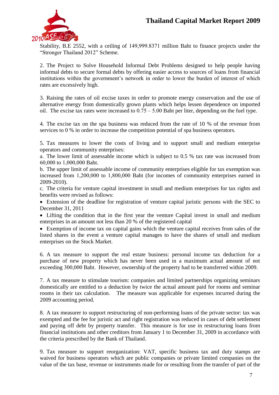

Stability, B.E 2552, with a ceiling of 149,999.8371 million Baht to finance projects under the "Stronger Thailand 2012" Scheme.

2. The Project to Solve Household Informal Debt Problems designed to help people having informal debts to secure formal debts by offering easier access to sources of loans from financial institutions within the government's network in order to lower the burden of interest of which rates are excessively high.

3. Raising the rates of oil excise taxes in order to promote energy conservation and the use of alternative energy from domestically grown plants which helps lessen dependence on imported oil. The excise tax rates were increased to  $0.75 - 5.00$  Baht per liter, depending on the fuel type.

4. The excise tax on the spa business was reduced from the rate of 10 % of the revenue from services to 0 % in order to increase the competition potential of spa business operators.

5. Tax measures to lower the costs of living and to support small and medium enterprise operators and community enterprises:

a. The lower limit of assessable income which is subject to 0.5 % tax rate was increased from 60,000 to 1,000,000 Baht.

b. The upper limit of assessable income of community enterprises eligible for tax exemption was increased from 1,200,000 to 1,800,000 Baht (for incomes of community enterprises earned in 2009-2010).

c. The criteria for venture capital investment in small and medium enterprises for tax rights and benefits were revised as follows:

 Extension of the deadline for registration of venture capital juristic persons with the SEC to December 31, 2011

 Lifting the condition that in the first year the venture Capital invest in small and medium enterprises in an amount not less than 20 % of the registered capital

 Exemption of income tax on capital gains which the venture capital receives from sales of the listed shares in the event a venture capital manages to have the shares of small and medium enterprises on the Stock Market.

6. A tax measure to support the real estate business: personal income tax deduction for a purchase of new property which has never been used in a maximum actual amount of not exceeding 300,000 Baht. However, ownership of the property had to be transferred within 2009.

7. A tax measure to stimulate tourism: companies and limited partnerships organizing seminars domestically are entitled to a deduction by twice the actual amount paid for rooms and seminar rooms in their tax calculation. The measure was applicable for expenses incurred during the 2009 accounting period.

8. A tax measurer to support restructuring of non-performing loans of the private sector: tax was exempted and the fee for juristic act and right registration was reduced in cases of debt settlement and paying off debt by property transfer. This measure is for use in restructuring loans from financial institutions and other creditors from January 1 to December 31, 2009 in accordance with the criteria prescribed by the Bank of Thailand.

9. Tax measure to support reorganization: VAT, specific business tax and duty stamps are waived for business operators which are public companies or private limited companies on the value of the tax base, revenue or instruments made for or resulting from the transfer of part of the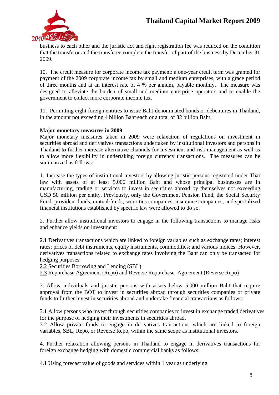

business to each other and the juristic act and right registration fee was reduced on the condition that the transferor and the transferee complete the transfer of part of the business by December 31, 2009.

10. The credit measure for corporate income tax payment: a one-year credit term was granted for payment of the 2009 corporate income tax by small and medium enterprises, with a grace period of three months and at an interest rate of 4 % per annum, payable monthly. The measure was designed to alleviate the burden of small and medium enterprise operators and to enable the government to collect more corporate income tax.

11. Permitting eight foreign entities to issue Baht-denominated bonds or debentures in Thailand, in the amount not exceeding 4 billion Baht each or a total of 32 billion Baht.

#### **Major monetary measures in 2009**

Major monetary measures taken in 2009 were relaxation of regulations on investment in securities abroad and derivatives transactions undertaken by institutional investors and persons in Thailand to further increase alternative channels for investment and risk management as well as to allow more flexibility in undertaking foreign currency transactions. The measures can be summarized as follows:

1. Increase the types of institutional investors by allowing juristic persons registered under Thai law with assets of at least 5,000 million Baht and whose principal businesses are in manufacturing, trading or services to invest in securities abroad by themselves not exceeding USD 50 million per entity. Previously, only the Government Pension Fund, the Social Security Fund, provident funds, mutual funds, securities companies, insurance companies, and specialized financial institutions established by specific law were allowed to do so.

2. Further allow institutional investors to engage in the following transactions to manage risks and enhance yields on investment:

2.1 Derivatives transactions which are linked to foreign variables such as exchange rates; interest rates; prices of debt instruments, equity instruments, commodities; and various indices. However, derivatives transactions related to exchange rates involving the Baht can only be transacted for hedging purposes.

2.2 Securities Borrowing and Lending (SBL)

2.3 Repurchase Agreement (Repo) and Reverse Repurchase Agreement (Reverse Repo)

3. Allow individuals and juristic persons with assets below 5,000 million Baht that require approval from the BOT to invest in securities abroad through securities companies or private funds to further invest in securities abroad and undertake financial transactions as follows:

3.1 Allow persons who invest through securities companies to invest in exchange traded derivatives for the purpose of hedging their investments in securities abroad.

3.2 Allow private funds to engage in derivatives transactions which are linked to foreign variables, SBL, Repo, or Reverse Repo, within the same scope as institutional investors.

4. Further relaxation allowing persons in Thailand to engage in derivatives transactions for foreign exchange hedging with domestic commercial banks as follows:

4.1 Using forecast value of goods and services within 1 year as underlying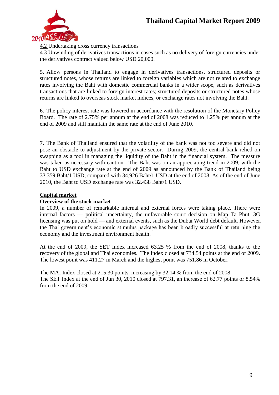

4.2 Undertaking cross currency transactions

4.3 Unwinding of derivatives transactions in cases such as no delivery of foreign currencies under the derivatives contract valued below USD 20,000.

5. Allow persons in Thailand to engage in derivatives transactions, structured deposits or structured notes, whose returns are linked to foreign variables which are not related to exchange rates involving the Baht with domestic commercial banks in a wider scope, such as derivatives transactions that are linked to foreign interest rates; structured deposits or structured notes whose returns are linked to overseas stock market indices, or exchange rates not involving the Baht.

6. The policy interest rate was lowered in accordance with the resolution of the Monetary Policy Board. The rate of 2.75% per annum at the end of 2008 was reduced to 1.25% per annum at the end of 2009 and still maintain the same rate at the end of June 2010.

7. The Bank of Thailand ensured that the volatility of the bank was not too severe and did not pose an obstacle to adjustment by the private sector. During 2009, the central bank relied on swapping as a tool in managing the liquidity of the Baht in the financial system. The measure was taken as necessary with caution. The Baht was on an appreciating trend in 2009, with the Baht to USD exchange rate at the end of 2009 as announced by the Bank of Thailand being 33.359 Baht/1 USD, compared with 34,926 Baht/1 USD at the end of 2008. As of the end of June 2010, the Baht to USD exchange rate was 32.438 Baht/1 USD.

#### **Capital market**

#### **Overview of the stock market**

In 2009, a number of remarkable internal and external forces were taking place. There were internal factors — political uncertainty, the unfavorable court decision on Map Ta Phut, 3G licensing was put on hold — and external events, such as the Dubai World debt default. However, the Thai government's economic stimulus package has been broadly successful at returning the economy and the investment environment health.

At the end of 2009, the SET Index increased 63.25 % from the end of 2008, thanks to the recovery of the global and Thai economies. The Index closed at 734.54 points at the end of 2009. The lowest point was 411.27 in March and the highest point was 751.86 in October.

The MAI Index closed at 215.30 points, increasing by 32.14 % from the end of 2008. The SET Index at the end of Jun 30, 2010 closed at 797.31, an increase of 62.77 points or 8.54% from the end of 2009.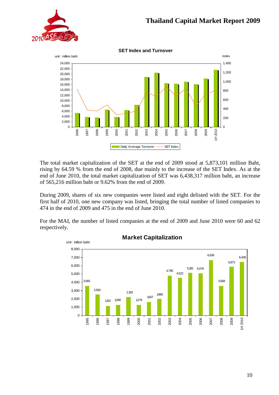



The total market capitalization of the SET at the end of 2009 stood at 5,873,101 million Baht, rising by 64.59 % from the end of 2008, due mainly to the increase of the SET Index. As at the end of June 2010, the total market capitalization of SET was 6,438,317 million baht, an increase of 565,216 million baht or 9.62% from the end of 2009.

During 2009, shares of six new companies were listed and eight delisted with the SET. For the first half of 2010, one new company was listed, bringing the total number of listed companies to 474 in the end of 2009 and 475 in the end of June 2010.

For the MAI, the number of listed companies at the end of 2009 and June 2010 were 60 and 62 respectively.



**Market Capitalization**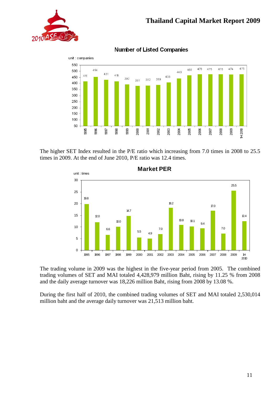



**Number of Listed Companies** 

The higher SET Index resulted in the P/E ratio which increasing from 7.0 times in 2008 to 25.5 times in 2009. At the end of June 2010, P/E ratio was 12.4 times.



The trading volume in 2009 was the highest in the five-year period from 2005. The combined trading volumes of SET and MAI totaled 4,428,979 million Baht, rising by 11.25 % from 2008 and the daily average turnover was 18,226 million Baht, rising from 2008 by 13.08 %.

During the first half of 2010, the combined trading volumes of SET and MAI totaled 2,530,014 million baht and the average daily turnover was 21,513 million baht.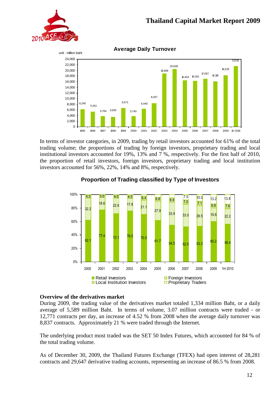



**Average Daily Turnover**

In terms of investor categories, in 2009, trading by retail investors accounted for 61% of the total trading volume; the proportions of trading by foreign investors, proprietary trading and local institutional investors accounted for 19%, 13% and 7 %, respectively. For the first half of 2010, the proportion of retail investors, foreign investors, proprietary trading and local institution investors accounted for 56%, 22%, 14% and 8%, respectively.



#### **Proportion of Trading classified by Type of Investors**

#### **Overview of the derivatives market**

During 2009, the trading value of the derivatives market totaled 1,334 million Baht, or a daily average of 5,589 million Baht. In terms of volume, 3.07 million contracts were traded - or 12,771 contracts per day, an increase of 4.52 % from 2008 when the average daily turnover was 8,837 contracts. Approximately 21 % were traded through the Internet.

The underlying product most traded was the SET 50 Index Futures, which accounted for 84 % of the total trading volume.

As of December 30, 2009, the Thailand Futures Exchange (TFEX) had open interest of 28,281 contracts and 29,647 derivative trading accounts, representing an increase of 86.5 % from 2008.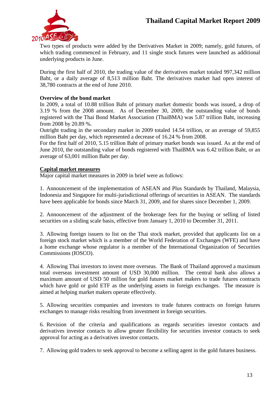

Two types of products were added by the Derivatives Market in 2009; namely, gold futures, of which trading commenced in February, and 11 single stock futures were launched as additional underlying products in June.

During the first half of 2010, the trading value of the derivatives market totaled 997,342 million Baht, or a daily average of 8,513 million Baht. The derivatives market had open interest of 38,780 contracts at the end of June 2010.

#### **Overview of the bond market**

In 2009, a total of 10.88 trillion Baht of primary market domestic bonds was issued, a drop of 3.19 % from the 2008 amount. As of December 30, 2009, the outstanding value of bonds registered with the Thai Bond Market Association (ThaiBMA) was 5.87 trillion Baht, increasing from 2008 by 20.89 %.

Outright trading in the secondary market in 2009 totaled 14.54 trillion, or an average of 59,855 million Baht per day, which represented a decrease of 16.24 % from 2008.

For the first half of 2010, 5.15 trillion Baht of primary market bonds was issued. As at the end of June 2010, the outstanding value of bonds registered with ThaiBMA was 6.42 trillion Baht, or an average of 63,001 million Baht per day.

#### **Capital market measures**

Major capital market measures in 2009 in brief were as follows:

1. Announcement of the implementation of ASEAN and Plus Standards by Thailand, Malaysia, Indonesia and Singapore for multi-jurisdictional offerings of securities in ASEAN. The standards have been applicable for bonds since March 31, 2009, and for shares since December 1, 2009.

2. Announcement of the adjustment of the brokerage fees for the buying or selling of listed securities on a sliding scale basis, effective from January 1, 2010 to December 31, 2011.

3. Allowing foreign issuers to list on the Thai stock market, provided that applicants list on a foreign stock market which is a member of the World Federation of Exchanges (WFE) and have a home exchange whose regulator is a member of the International Organization of Securities Commissions (IOSCO).

4. Allowing Thai investors to invest more overseas. The Bank of Thailand approved a maximum total overseas investment amount of USD 30,000 million. The central bank also allows a maximum amount of USD 50 million for gold futures market makers to trade futures contracts which have gold or gold ETF as the underlying assets in foreign exchanges. The measure is aimed at helping market makers operate effectively.

5. Allowing securities companies and investors to trade futures contracts on foreign futures exchanges to manage risks resulting from investment in foreign securities.

6. Revision of the criteria and qualifications as regards securities investor contacts and derivatives investor contacts to allow greater flexibility for securities investor contacts to seek approval for acting as a derivatives investor contacts.

7. Allowing gold traders to seek approval to become a selling agent in the gold futures business.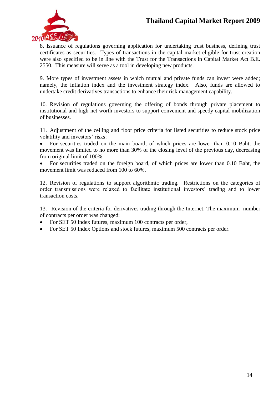

8. Issuance of regulations governing application for undertaking trust business, defining trust certificates as securities. Types of transactions in the capital market eligible for trust creation were also specified to be in line with the Trust for the Transactions in Capital Market Act B.E. 2550. This measure will serve as a tool in developing new products.

9. More types of investment assets in which mutual and private funds can invest were added; namely, the inflation index and the investment strategy index. Also, funds are allowed to undertake credit derivatives transactions to enhance their risk management capability.

10. Revision of regulations governing the offering of bonds through private placement to institutional and high net worth investors to support convenient and speedy capital mobilization of businesses.

11. Adjustment of the ceiling and floor price criteria for listed securities to reduce stock price volatility and investors' risks:

 For securities traded on the main board, of which prices are lower than 0.10 Baht, the movement was limited to no more than 30% of the closing level of the previous day, decreasing from original limit of 100%,

 For securities traded on the foreign board, of which prices are lower than 0.10 Baht, the movement limit was reduced from 100 to 60%.

12. Revision of regulations to support algorithmic trading. Restrictions on the categories of order transmissions were relaxed to facilitate institutional investors' trading and to lower transaction costs.

13. Revision of the criteria for derivatives trading through the Internet. The maximum number of contracts per order was changed:

- For SET 50 Index futures, maximum 100 contracts per order,
- For SET 50 Index Options and stock futures, maximum 500 contracts per order.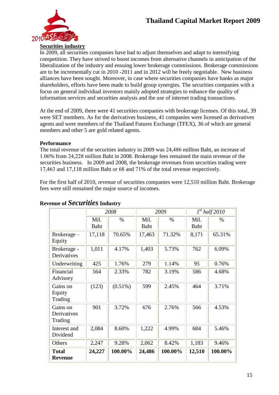

**Securities industry**

In 2009, all securities companies have had to adjust themselves and adapt to intensifying competition. They have strived to boost incomes from alternative channels in anticipation of the liberalization of the industry and ensuing lower brokerage commissions. Brokerage commissions are to be incrementally cut in 2010 -2011 and in 2012 will be freely negotiable. New business alliances have been sought. Moreover, in case where securities companies have banks as major shareholders, efforts have been made to build group synergies. The securities companies with a focus on general individual investors mainly adopted strategies to enhance the quality of information services and securities analysis and the use of internet trading transactions.

At the end of 2009, there were 41 securities companies with brokerage licenses. Of this total, 39 were SET members. As for the derivatives business, 41 companies were licensed as derivatives agents and were members of the Thailand Futures Exchange (TFEX), 36 of which are general members and other 5 are gold related agents.

#### **Performance**

The total revenue of the securities industry in 2009 was 24,486 million Baht, an increase of 1.06% from 24,228 million Baht in 2008. Brokerage fees remained the main revenue of the securities business. In 2009 and 2008, the brokerage revenues from securities trading were 17,463 and 17,118 million Baht or 68 and 71% of the total revenue respectively.

For the first half of 2010, revenue of securities companies were 12,510 million Baht. Brokerage fees were still remained the major source of incomes.

|                                    | 2008         |            | 2009         |         | $1^{st}$ half 2010 |         |
|------------------------------------|--------------|------------|--------------|---------|--------------------|---------|
|                                    | Mil.<br>Baht | $\%$       | Mil.<br>Baht | $\%$    | Mil.<br>Baht       | $\%$    |
| Brokerage –<br>Equity              | 17,118       | 70.65%     | 17,463       | 71.32%  | 8,171              | 65.31%  |
| Brokerage -<br>Derivatives         | 1,011        | 4.17%      | 1,403        | 5.73%   | 762                | 6.09%   |
| Underwriting                       | 425          | 1.76%      | 279          | 1.14%   | 95                 | 0.76%   |
| Financial<br>Advisory              | 564          | 2.33%      | 782          | 3.19%   | 586                | 4.68%   |
| Gains on<br>Equity<br>Trading      | (123)        | $(0.51\%)$ | 599          | 2.45%   | 464                | 3.71%   |
| Gains on<br>Derivatives<br>Trading | 901          | 3.72%      | 676          | 2.76%   | 566                | 4.53%   |
| Interest and<br>Dividend           | 2,084        | 8.60%      | 1,222        | 4.99%   | 684                | 5.46%   |
| Others                             | 2,247        | 9.28%      | 2,062        | 8.42%   | 1,183              | 9.46%   |
| <b>Total</b><br><b>Revenue</b>     | 24,227       | 100.00%    | 24,486       | 100.00% | 12,510             | 100.00% |

#### **Revenue of** *Securities***Industry**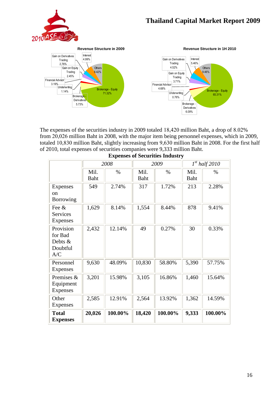



The expenses of the securities industry in 2009 totaled 18,420 million Baht, a drop of 8.02% from 20,026 million Baht in 2008, with the major item being personnel expenses, which in 2009, totaled 10,830 million Baht, slightly increasing from 9,630 million Baht in 2008. For the first half of 2010, total expenses of securities companies were 9,333 million Baht.

|                                                       | 2008         |         | 2009         |         | $1^{st}$ half 2010 |         |
|-------------------------------------------------------|--------------|---------|--------------|---------|--------------------|---------|
|                                                       | Mil.<br>Baht | $\%$    | Mil.<br>Baht | $\%$    | Mil.<br>Baht       | $\%$    |
| Expenses<br><sub>on</sub><br>Borrowing                | 549          | 2.74%   | 317          | 1.72%   | 213                | 2.28%   |
| Fee &<br>Services<br>Expenses                         | 1,629        | 8.14%   | 1,554        | 8.44%   | 878                | 9.41%   |
| Provision<br>for Bad<br>Debts $\&$<br>Doubtful<br>A/C | 2,432        | 12.14%  | 49           | 0.27%   | 30                 | 0.33%   |
| Personnel<br>Expenses                                 | 9,630        | 48.09%  | 10,830       | 58.80%  | 5,390              | 57.75%  |
| Premises &<br>Equipment<br>Expenses                   | 3,201        | 15.98%  | 3,105        | 16.86%  | 1,460              | 15.64%  |
| Other<br>Expenses                                     | 2,585        | 12.91%  | 2,564        | 13.92%  | 1,362              | 14.59%  |
| <b>Total</b><br><b>Expenses</b>                       | 20,026       | 100.00% | 18,420       | 100.00% | 9,333              | 100.00% |

**Expenses of Securities Industry**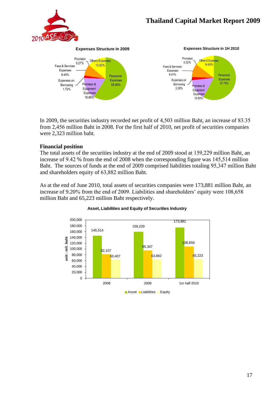



**Expenses Structure in 1H 2010**



In 2009, the securities industry recorded net profit of 4,503 million Baht, an increase of 83.35 from 2,456 million Baht in 2008. For the first half of 2010, net profit of securities companies were 2,323 million baht.

#### **Financial position**

The total assets of the securities industry at the end of 2009 stood at 159,229 million Baht, an increase of 9.42 % from the end of 2008 when the corresponding figure was 145,514 million Baht. The sources of funds at the end of 2009 comprised liabilities totaling 95,347 million Baht and shareholders equity of 63,882 million Baht.

As at the end of June 2010, total assets of securities companies were 173,881 million Baht, an increase of 9.20% from the end of 2009. Liabilities and shareholders' equity were 108,658 million Baht and 65,223 million Baht respectively.



#### **Asset, Liabilities and Equity of Securities Industry**